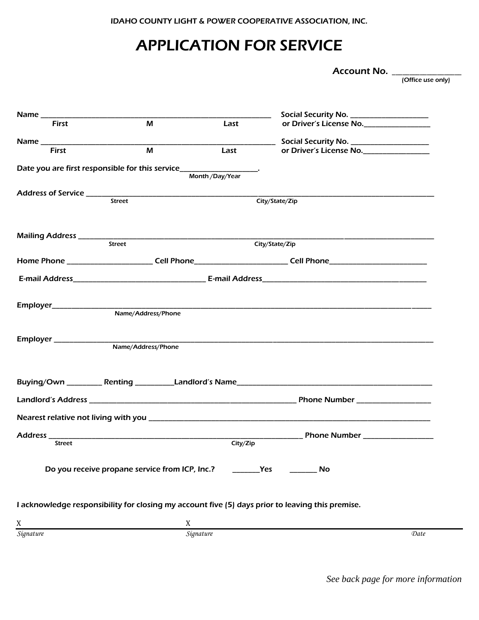IDAHO COUNTY LIGHT & POWER COOPERATIVE ASSOCIATION, INC.

# APPLICATION FOR SERVICE

Account No. \_\_\_\_\_\_\_\_\_\_\_\_\_\_\_\_\_\_\_\_

(Office use only)

|                       |                                                                    |                | Social Security No. ______________________                                                                                                                                                                                     |
|-----------------------|--------------------------------------------------------------------|----------------|--------------------------------------------------------------------------------------------------------------------------------------------------------------------------------------------------------------------------------|
| <b>First</b>          | M                                                                  | Last           | or Driver's License No.                                                                                                                                                                                                        |
|                       |                                                                    |                | Social Security No. ____________________                                                                                                                                                                                       |
| <b>First</b>          | M                                                                  | Last           | or Driver's License No.                                                                                                                                                                                                        |
|                       | Date you are first responsible for this service__________________. |                |                                                                                                                                                                                                                                |
|                       |                                                                    | Month/Day/Year |                                                                                                                                                                                                                                |
|                       |                                                                    |                |                                                                                                                                                                                                                                |
|                       | <b>Street</b>                                                      |                | City/State/Zip                                                                                                                                                                                                                 |
|                       |                                                                    |                |                                                                                                                                                                                                                                |
|                       |                                                                    |                |                                                                                                                                                                                                                                |
|                       | Street                                                             |                | City/State/Zip                                                                                                                                                                                                                 |
|                       |                                                                    |                |                                                                                                                                                                                                                                |
|                       |                                                                    |                | Home Phone ________________________Cell Phone_________________________Cell Phone______________________________                                                                                                                 |
|                       |                                                                    |                |                                                                                                                                                                                                                                |
|                       |                                                                    |                |                                                                                                                                                                                                                                |
| Employer_____________ |                                                                    |                |                                                                                                                                                                                                                                |
|                       | Name/Address/Phone                                                 |                |                                                                                                                                                                                                                                |
|                       |                                                                    |                |                                                                                                                                                                                                                                |
|                       |                                                                    |                |                                                                                                                                                                                                                                |
|                       | Name/Address/Phone                                                 |                |                                                                                                                                                                                                                                |
|                       |                                                                    |                |                                                                                                                                                                                                                                |
|                       |                                                                    |                |                                                                                                                                                                                                                                |
|                       |                                                                    |                |                                                                                                                                                                                                                                |
|                       |                                                                    |                |                                                                                                                                                                                                                                |
|                       |                                                                    |                | Nearest relative not living with you entertainment and the control of the control of the control of the control of the control of the control of the control of the control of the control of the control of the control of th |
|                       |                                                                    |                |                                                                                                                                                                                                                                |
| <b>Street</b>         |                                                                    | City/Zip       |                                                                                                                                                                                                                                |
|                       |                                                                    |                |                                                                                                                                                                                                                                |
|                       | Do you receive propane service from ICP, Inc.?                     |                | Yes<br>No                                                                                                                                                                                                                      |
|                       |                                                                    |                |                                                                                                                                                                                                                                |
|                       |                                                                    |                |                                                                                                                                                                                                                                |
|                       |                                                                    |                | I acknowledge responsibility for closing my account five (5) days prior to leaving this premise.                                                                                                                               |
| X                     | X                                                                  |                |                                                                                                                                                                                                                                |
| Signature             |                                                                    | Signature      | Date                                                                                                                                                                                                                           |